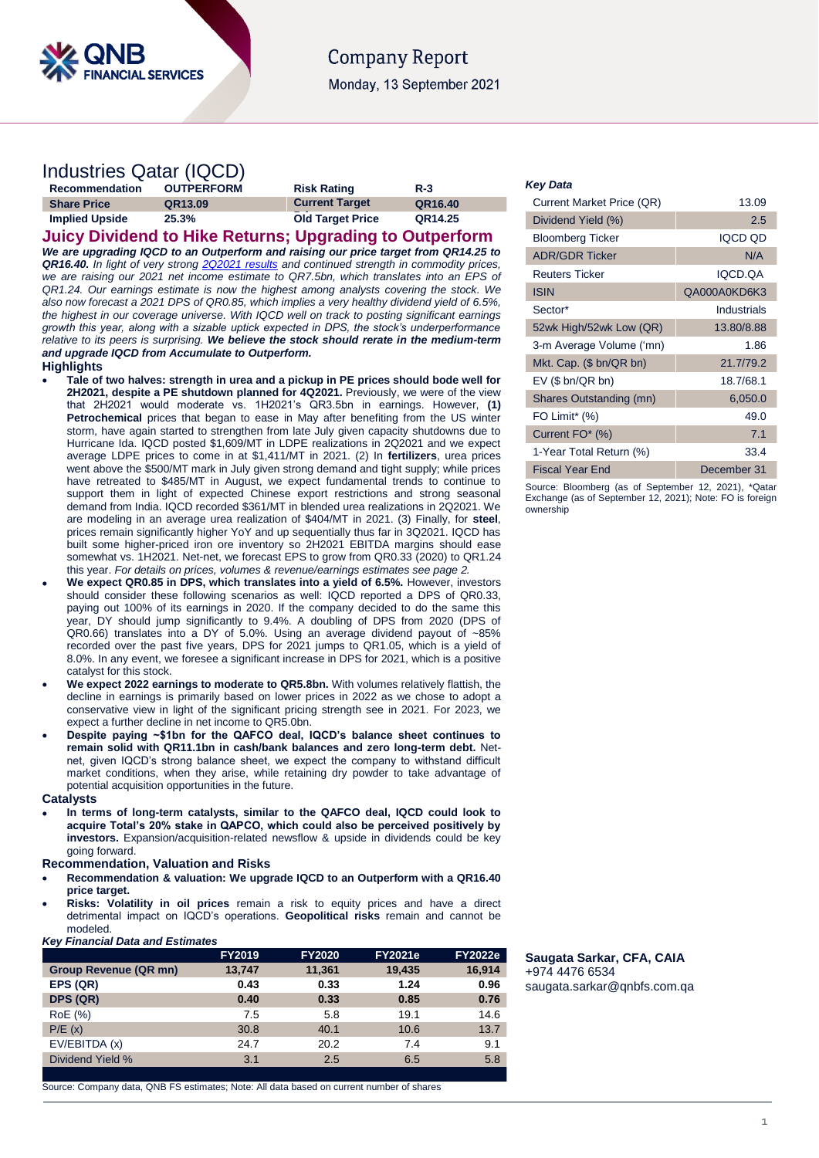

# **Company Report** Monday, 13 September 2021

# Industries Qatar (IQCD)

| <b>Recommendation</b> | <b>OUTPERFORM</b> | <b>Risk Rating</b>      | $R-3$   |
|-----------------------|-------------------|-------------------------|---------|
| <b>Share Price</b>    | QR13.09           | <b>Current Target</b>   | QR16.40 |
| <b>Implied Upside</b> | 25.3%             | <b>Old Target Price</b> | QR14.25 |

**Juicy Dividend to Hike Returns; Upgrading to Outperform** *We are upgrading IQCD to an Outperform and raising our price target from QR14.25 to QR16.40. In light of very strong [2Q2021 results](https://www.qnb.com/sites/qnb/qnbfs/document/en/IQCD-08-08-2021) and continued strength in commodity prices, we are raising our 2021 net income estimate to QR7.5bn, which translates into an EPS of QR1.24. Our earnings estimate is now the highest among analysts covering the stock. We also now forecast a 2021 DPS of QR0.85, which implies a very healthy dividend yield of 6.5%, the highest in our coverage universe. With IQCD well on track to posting significant earnings growth this year, along with a sizable uptick expected in DPS, the stock's underperformance relative to its peers is surprising. We believe the stock should rerate in the medium-term and upgrade IQCD from Accumulate to Outperform.*

### **Highlights**

- **Tale of two halves: strength in urea and a pickup in PE prices should bode well for 2H2021, despite a PE shutdown planned for 4Q2021.** Previously, we were of the view that 2H2021 would moderate vs. 1H2021's QR3.5bn in earnings. However, **(1) Petrochemical** prices that began to ease in May after benefiting from the US winter storm, have again started to strengthen from late July given capacity shutdowns due to Hurricane Ida. IQCD posted \$1,609/MT in LDPE realizations in 2Q2021 and we expect average LDPE prices to come in at \$1,411/MT in 2021. (2) In **fertilizers**, urea prices went above the \$500/MT mark in July given strong demand and tight supply; while prices have retreated to \$485/MT in August, we expect fundamental trends to continue to support them in light of expected Chinese export restrictions and strong seasonal demand from India. IQCD recorded \$361/MT in blended urea realizations in 2Q2021. We are modeling in an average urea realization of \$404/MT in 2021. (3) Finally, for **steel**, prices remain significantly higher YoY and up sequentially thus far in 3Q2021. IQCD has built some higher-priced iron ore inventory so 2H2021 EBITDA margins should ease somewhat vs. 1H2021. Net-net, we forecast EPS to grow from QR0.33 (2020) to QR1.24 this year. *For details on prices, volumes & revenue/earnings estimates see page 2.*
- **We expect QR0.85 in DPS, which translates into a yield of 6.5%.** However, investors should consider these following scenarios as well: IQCD reported a DPS of QR0.33, paying out 100% of its earnings in 2020. If the company decided to do the same this year, DY should jump significantly to 9.4%. A doubling of DPS from 2020 (DPS of QR0.66) translates into a DY of 5.0%. Using an average dividend payout of ~85% recorded over the past five years, DPS for 2021 jumps to QR1.05, which is a yield of 8.0%. In any event, we foresee a significant increase in DPS for 2021, which is a positive catalyst for this stock.
- We expect 2022 earnings to moderate to QR5.8bn. With volumes relatively flattish, the decline in earnings is primarily based on lower prices in 2022 as we chose to adopt a conservative view in light of the significant pricing strength see in 2021. For 2023, we expect a further decline in net income to QR5.0bn.
- **Despite paying ~\$1bn for the QAFCO deal, IQCD's balance sheet continues to remain solid with QR11.1bn in cash/bank balances and zero long-term debt.** Netnet, given IQCD's strong balance sheet, we expect the company to withstand difficult market conditions, when they arise, while retaining dry powder to take advantage of potential acquisition opportunities in the future.

### **Catalysts**

 **In terms of long-term catalysts, similar to the QAFCO deal, IQCD could look to acquire Total's 20% stake in QAPCO, which could also be perceived positively by investors.** Expansion/acquisition-related newsflow & upside in dividends could be key going forward.

## **Recommendation, Valuation and Risks**

- **Recommendation & valuation: We upgrade IQCD to an Outperform with a QR16.40 price target.**
- **Risks: Volatility in oil prices** remain a risk to equity prices and have a direct detrimental impact on IQCD's operations. **Geopolitical risks** remain and cannot be modeled.

### *Key Financial Data and Estimates*

|                              | <b>FY2019</b> | <b>FY2020</b> | <b>FY2021e</b> | <b>FY2022e</b> |
|------------------------------|---------------|---------------|----------------|----------------|
| <b>Group Revenue (QR mn)</b> | 13,747        | 11,361        | 19,435         | 16,914         |
| EPS (QR)                     | 0.43          | 0.33          | 1.24           | 0.96           |
| DPS (QR)                     | 0.40          | 0.33          | 0.85           | 0.76           |
| RoE (%)                      | 7.5           | 5.8           | 19.1           | 14.6           |
| P/E(x)                       | 30.8          | 40.1          | 10.6           | 13.7           |
| EV/EBITDA (x)                | 24.7          | 20.2          | 7.4            | 9.1            |
| Dividend Yield %             | 3.1           | 2.5           | 6.5            | 5.8            |
|                              |               |               |                |                |

Source: Company data, QNB FS estimates; Note: All data based on current number of shares

### *Key Data*

| Current Market Price (QR) | 13.09          |
|---------------------------|----------------|
| Dividend Yield (%)        | 2.5            |
| <b>Bloomberg Ticker</b>   | <b>IQCD QD</b> |
| <b>ADR/GDR Ticker</b>     | N/A            |
| <b>Reuters Ticker</b>     | IQCD.QA        |
| <b>ISIN</b>               | QA000A0KD6K3   |
| Sector*                   | Industrials    |
| 52wk High/52wk Low (QR)   | 13.80/8.88     |
| 3-m Average Volume ('mn)  | 1.86           |
| Mkt. Cap. $($bn/QR bn)$   | 21.7/79.2      |
| $EV$ (\$ bn/QR bn)        | 18.7/68.1      |
| Shares Outstanding (mn)   | 6,050.0        |
| FO Limit <sup>*</sup> (%) | 49.0           |
| Current FO* (%)           | 7.1            |
| 1-Year Total Return (%)   | 33.4           |
| <b>Fiscal Year End</b>    | December 31    |

Source: Bloomberg (as of September 12, 2021), \*Qatar Exchange (as of September 12, 2021); Note: FO is foreign ownership

## **Saugata Sarkar, CFA, CAIA** +974 4476 6534 [saugata.sarkar@qnbfs.com.qa](mailto:saugata.sarkar@qnbfs.com.qa)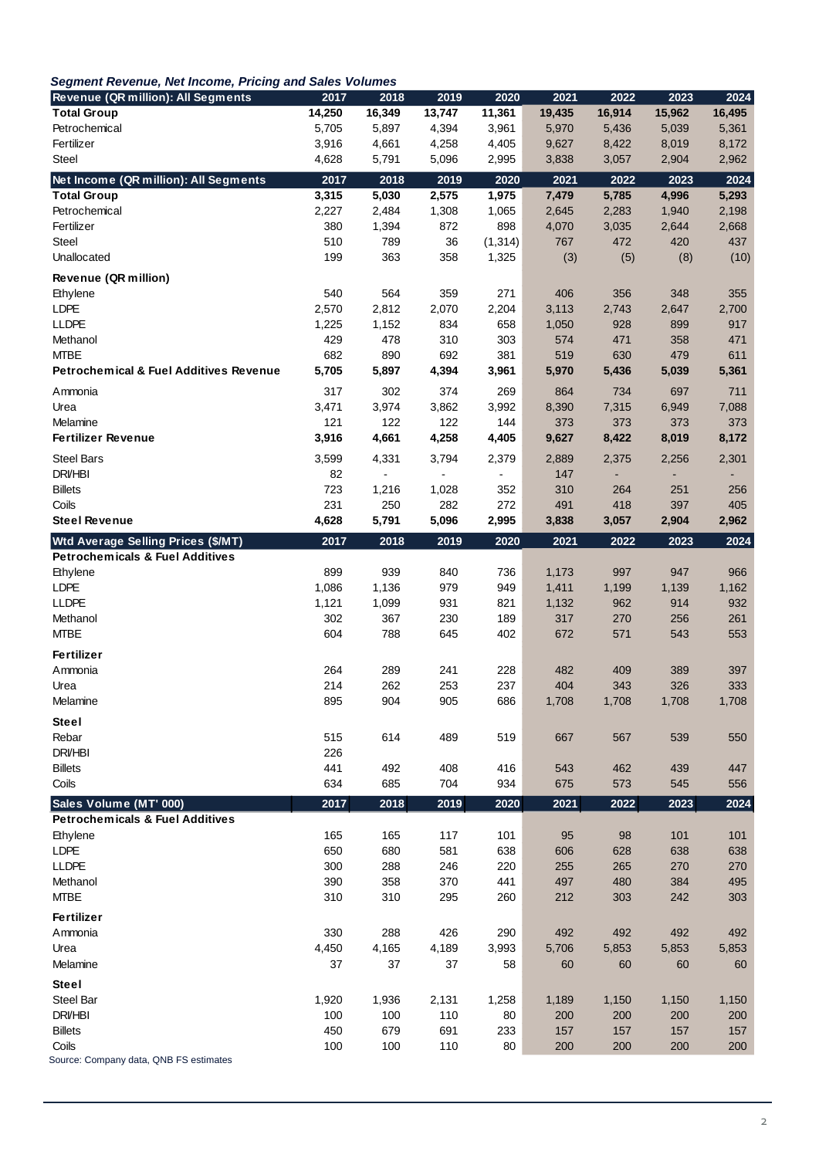| <b>Revenue (QR million): All Segments</b>              | 2017       | 2018                     | 2019           | 2020                     | 2021         | 2022         | 2023                     | 2024               |
|--------------------------------------------------------|------------|--------------------------|----------------|--------------------------|--------------|--------------|--------------------------|--------------------|
| <b>Total Group</b>                                     | 14,250     | 16,349                   | 13,747         | 11,361                   | 19,435       | 16,914       | 15,962                   | 16,495             |
| Petrochemical                                          | 5,705      | 5,897                    | 4,394          | 3,961                    | 5,970        | 5,436        | 5,039                    | 5,361              |
| Fertilizer                                             | 3,916      | 4,661                    | 4,258          | 4,405                    | 9,627        | 8,422        | 8,019                    | 8,172              |
| Steel                                                  | 4,628      | 5,791                    | 5,096          | 2,995                    | 3,838        | 3,057        | 2,904                    | 2,962              |
| Net Income (QR million): All Segments                  | 2017       | 2018                     | 2019           | 2020                     | 2021         | 2022         | 2023                     | 2024               |
| <b>Total Group</b>                                     | 3,315      | 5,030                    | 2,575          | 1,975                    | 7,479        | 5,785        | 4,996                    | 5,293              |
| Petrochemical                                          | 2,227      | 2,484                    | 1,308          | 1,065                    | 2,645        | 2,283        | 1,940                    | 2,198              |
| Fertilizer                                             | 380        | 1,394                    | 872            | 898                      | 4,070        | 3,035        | 2,644                    | 2,668              |
| Steel                                                  | 510        | 789                      | 36             | (1, 314)                 | 767          | 472          | 420                      | 437                |
| Unallocated                                            | 199        | 363                      | 358            | 1,325                    | (3)          | (5)          | (8)                      | (10)               |
| Revenue (QR million)                                   | 540        | 564                      | 359            | 271                      | 406          | 356          | 348                      | 355                |
| Ethylene<br><b>LDPE</b>                                | 2,570      | 2,812                    | 2,070          | 2,204                    | 3,113        | 2,743        | 2,647                    | 2,700              |
| <b>LLDPE</b>                                           | 1,225      | 1,152                    | 834            | 658                      | 1,050        | 928          | 899                      | 917                |
| Methanol                                               | 429        | 478                      | 310            | 303                      | 574          | 471          | 358                      | 471                |
| <b>MTBE</b>                                            | 682        | 890                      | 692            | 381                      | 519          | 630          | 479                      | 611                |
| <b>Petrochemical &amp; Fuel Additives Revenue</b>      | 5,705      | 5,897                    | 4,394          | 3,961                    | 5,970        | 5,436        | 5,039                    | 5,361              |
| Ammonia                                                | 317        | 302                      | 374            | 269                      | 864          | 734          | 697                      | 711                |
| Urea                                                   | 3,471      | 3,974                    | 3,862          | 3,992                    | 8,390        | 7,315        | 6,949                    | 7,088              |
| Melamine                                               | 121        | 122                      | 122            | 144                      | 373          | 373          | 373                      | 373                |
| <b>Fertilizer Revenue</b>                              | 3,916      | 4,661                    | 4,258          | 4,405                    | 9,627        | 8,422        | 8,019                    | 8,172              |
| <b>Steel Bars</b>                                      | 3,599      | 4,331                    | 3,794          | 2,379                    | 2,889        | 2,375        | 2,256                    | 2,301              |
| <b>DRI/HBI</b>                                         | 82         | $\overline{\phantom{a}}$ | $\blacksquare$ | $\overline{\phantom{a}}$ | 147          |              | $\overline{\phantom{0}}$ |                    |
| <b>Billets</b>                                         | 723        | 1,216                    | 1,028          | 352                      | 310          | 264          | 251                      | 256                |
| Coils                                                  | 231        | 250                      | 282            | 272                      | 491          | 418          | 397                      | 405                |
| <b>Steel Revenue</b>                                   | 4,628      | 5,791                    | 5,096          | 2,995                    | 3,838        | 3,057        | 2,904                    | 2,962              |
| <b>Wtd Average Selling Prices (\$/MT)</b>              | 2017       | 2018                     | 2019           | 2020                     | 2021         | 2022         | 2023                     | 2024               |
| <b>Petrochemicals &amp; Fuel Additives</b>             |            |                          |                |                          |              |              |                          |                    |
| Ethylene                                               | 899        | 939                      | 840            | 736                      | 1,173        | 997          | 947                      | 966                |
| LDPE                                                   | 1,086      | 1,136                    | 979            | 949                      | 1,411        | 1,199        | 1,139                    | 1,162              |
| <b>LLDPE</b>                                           | 1,121      | 1,099                    | 931            | 821                      | 1,132        | 962          | 914                      | 932                |
| Methanol                                               | 302        | 367                      | 230            | 189                      | 317          | 270          | 256                      | 261                |
| <b>MTBE</b>                                            | 604        | 788                      | 645            | 402                      | 672          | 571          | 543                      | 553                |
| Fertilizer                                             |            |                          |                |                          |              |              |                          |                    |
| Ammonia                                                | 264        | 289                      | 241            | 228                      | 482          | 409          | 389                      | 397                |
| Urea<br>Melamine                                       | 214<br>895 | 262<br>904               | 253<br>905     | 237<br>686               | 404<br>1,708 | 343<br>1,708 | 326<br>1,708             | 333<br>1,708       |
|                                                        |            |                          |                |                          |              |              |                          |                    |
| <b>Steel</b>                                           |            |                          |                |                          |              |              |                          |                    |
| Rebar<br><b>DRI/HBI</b>                                | 515<br>226 | 614                      | 489            | 519                      | 667          | 567          | 539                      | 550                |
| <b>Billets</b>                                         |            |                          |                |                          |              |              |                          |                    |
|                                                        |            |                          |                |                          |              |              |                          |                    |
|                                                        | 441        | 492                      | 408            | 416                      | 543          | 462          | 439                      | 447                |
| Coils                                                  | 634        | 685                      | 704            | 934                      | 675          | 573          | 545                      | 556                |
| Sales Volume (MT' 000)                                 | 2017       | 2018                     | 2019           | 2020                     | 2021         | 2022         | 2023                     |                    |
| <b>Petrochemicals &amp; Fuel Additives</b><br>Ethylene |            |                          |                | 101                      |              |              |                          |                    |
| <b>LDPE</b>                                            | 165<br>650 | 165<br>680               | 117<br>581     |                          | 95<br>606    | 98<br>628    | 101                      | 101<br>638         |
| <b>LLDPE</b>                                           | 300        | 288                      | 246            | 638<br>220               | 255          | 265          | 638<br>270               | 270                |
| Methanol                                               | 390        | 358                      | 370            | 441                      | 497          | 480          | 384                      | 495                |
| <b>MTBE</b>                                            | 310        | 310                      | 295            | 260                      | 212          | 303          | 242                      | 303                |
| Fertilizer                                             |            |                          |                |                          |              |              |                          |                    |
| Ammonia                                                | 330        | 288                      | 426            | 290                      | 492          | 492          | 492                      | 492                |
| Urea                                                   | 4,450      | 4,165                    | 4,189          | 3,993                    | 5,706        | 5,853        | 5,853                    | 5,853              |
| Melamine                                               | 37         | 37                       | 37             | 58                       | 60           | 60           | 60                       | 60                 |
| Steel                                                  |            |                          |                |                          |              |              |                          |                    |
| Steel Bar                                              | 1,920      | 1,936                    | 2,131          | 1,258                    | 1,189        | 1,150        | 1,150                    | 1,150              |
| <b>DRVHBI</b>                                          | 100        | 100                      | 110            | 80                       | 200          | 200          | 200                      | 200                |
| <b>Billets</b><br>Coils                                | 450<br>100 | 679<br>100               | 691<br>110     | 233<br>80                | 157<br>200   | 157<br>200   | 157<br>200               | 2024<br>157<br>200 |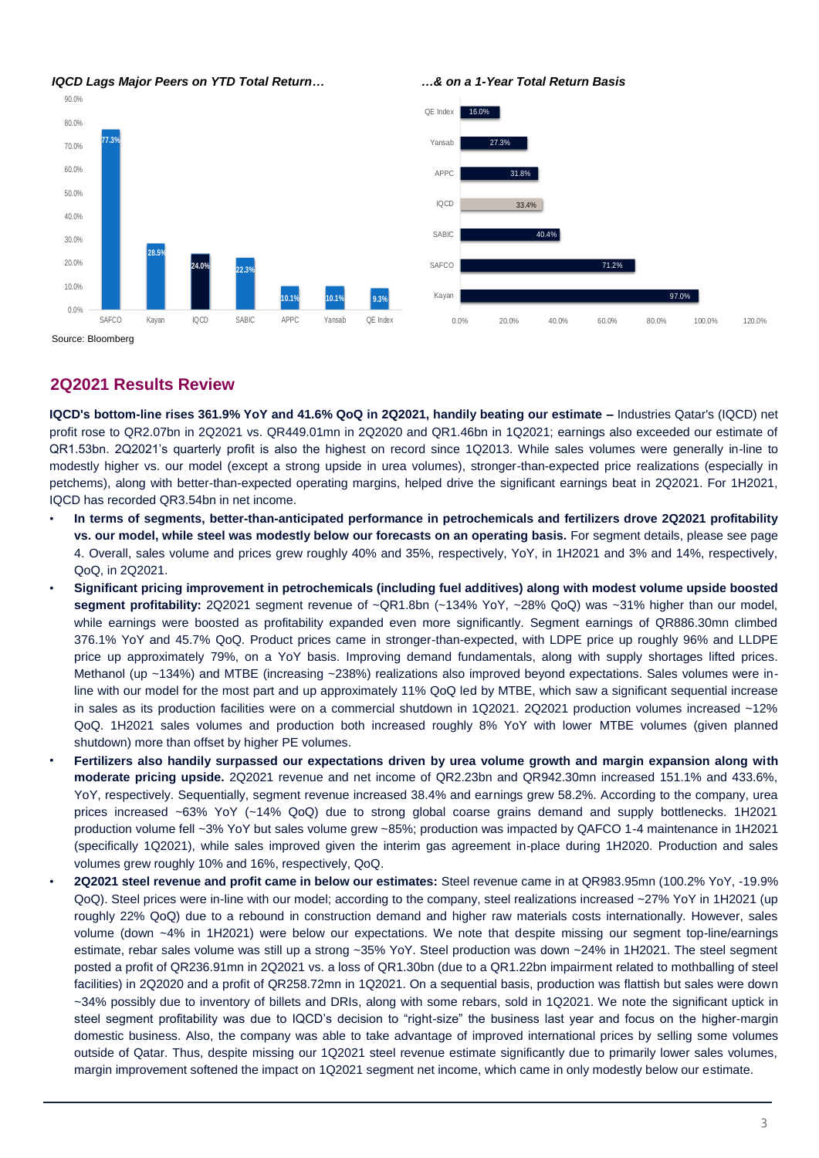

Source: Bloomberg

# **2Q2021 Results Review**

**IQCD's bottom-line rises 361.9% YoY and 41.6% QoQ in 2Q2021, handily beating our estimate –** Industries Qatar's (IQCD) net profit rose to QR2.07bn in 2Q2021 vs. QR449.01mn in 2Q2020 and QR1.46bn in 1Q2021; earnings also exceeded our estimate of QR1.53bn. 2Q2021's quarterly profit is also the highest on record since 1Q2013. While sales volumes were generally in-line to modestly higher vs. our model (except a strong upside in urea volumes), stronger-than-expected price realizations (especially in petchems), along with better-than-expected operating margins, helped drive the significant earnings beat in 2Q2021. For 1H2021, IQCD has recorded QR3.54bn in net income.

- **In terms of segments, better-than-anticipated performance in petrochemicals and fertilizers drove 2Q2021 profitability vs. our model, while steel was modestly below our forecasts on an operating basis.** For segment details, please see page 4. Overall, sales volume and prices grew roughly 40% and 35%, respectively, YoY, in 1H2021 and 3% and 14%, respectively, QoQ, in 2Q2021.
- **Significant pricing improvement in petrochemicals (including fuel additives) along with modest volume upside boosted segment profitability:** 2Q2021 segment revenue of ~QR1.8bn (~134% YoY, ~28% QoQ) was ~31% higher than our model, while earnings were boosted as profitability expanded even more significantly. Segment earnings of QR886.30mn climbed 376.1% YoY and 45.7% QoQ. Product prices came in stronger-than-expected, with LDPE price up roughly 96% and LLDPE price up approximately 79%, on a YoY basis. Improving demand fundamentals, along with supply shortages lifted prices. Methanol (up ~134%) and MTBE (increasing ~238%) realizations also improved beyond expectations. Sales volumes were inline with our model for the most part and up approximately 11% QoQ led by MTBE, which saw a significant sequential increase in sales as its production facilities were on a commercial shutdown in 1Q2021. 2Q2021 production volumes increased ~12% QoQ. 1H2021 sales volumes and production both increased roughly 8% YoY with lower MTBE volumes (given planned shutdown) more than offset by higher PE volumes.
- **Fertilizers also handily surpassed our expectations driven by urea volume growth and margin expansion along with moderate pricing upside.** 2Q2021 revenue and net income of QR2.23bn and QR942.30mn increased 151.1% and 433.6%, YoY, respectively. Sequentially, segment revenue increased 38.4% and earnings grew 58.2%. According to the company, urea prices increased ~63% YoY (~14% QoQ) due to strong global coarse grains demand and supply bottlenecks. 1H2021 production volume fell ~3% YoY but sales volume grew ~85%; production was impacted by QAFCO 1-4 maintenance in 1H2021 (specifically 1Q2021), while sales improved given the interim gas agreement in-place during 1H2020. Production and sales volumes grew roughly 10% and 16%, respectively, QoQ.
- **2Q2021 steel revenue and profit came in below our estimates:** Steel revenue came in at QR983.95mn (100.2% YoY, -19.9% QoQ). Steel prices were in-line with our model; according to the company, steel realizations increased ~27% YoY in 1H2021 (up roughly 22% QoQ) due to a rebound in construction demand and higher raw materials costs internationally. However, sales volume (down ~4% in 1H2021) were below our expectations. We note that despite missing our segment top-line/earnings estimate, rebar sales volume was still up a strong ~35% YoY. Steel production was down ~24% in 1H2021. The steel segment posted a profit of QR236.91mn in 2Q2021 vs. a loss of QR1.30bn (due to a QR1.22bn impairment related to mothballing of steel facilities) in 2Q2020 and a profit of QR258.72mn in 1Q2021. On a sequential basis, production was flattish but sales were down ~34% possibly due to inventory of billets and DRIs, along with some rebars, sold in 1Q2021. We note the significant uptick in steel segment profitability was due to IQCD's decision to "right-size" the business last year and focus on the higher-margin domestic business. Also, the company was able to take advantage of improved international prices by selling some volumes outside of Qatar. Thus, despite missing our 1Q2021 steel revenue estimate significantly due to primarily lower sales volumes, margin improvement softened the impact on 1Q2021 segment net income, which came in only modestly below our estimate.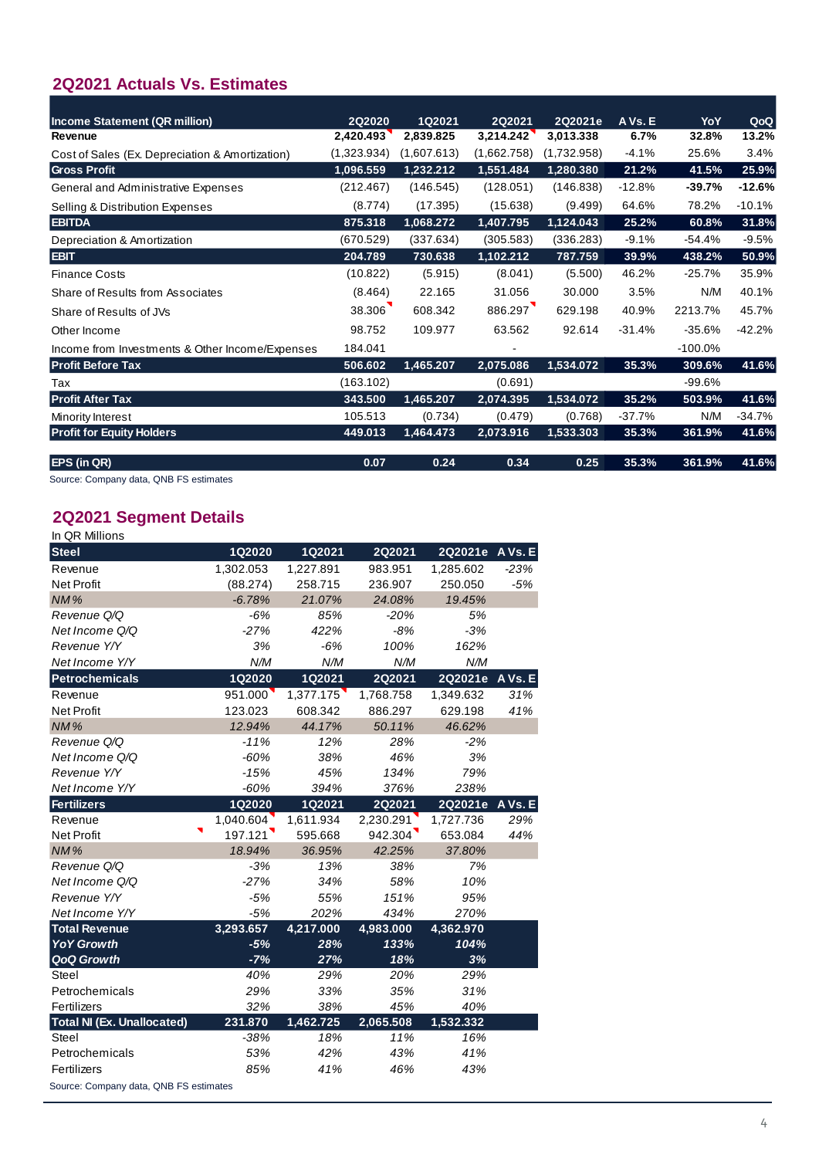# **2Q2021 Actuals Vs. Estimates**

| <b>Income Statement (QR million)</b>            | 2Q2020      | 1Q2021      | 2Q2021      | 2Q2021e     | A Vs. E  | YoY        | QoQ      |
|-------------------------------------------------|-------------|-------------|-------------|-------------|----------|------------|----------|
| Revenue                                         | 2,420.493   | 2,839.825   | 3,214.242   | 3,013.338   | 6.7%     | 32.8%      | 13.2%    |
| Cost of Sales (Ex. Depreciation & Amortization) | (1,323.934) | (1,607.613) | (1,662.758) | (1,732.958) | $-4.1%$  | 25.6%      | 3.4%     |
| <b>Gross Profit</b>                             | 1,096.559   | 1,232.212   | 1,551.484   | 1,280.380   | 21.2%    | 41.5%      | 25.9%    |
| General and Administrative Expenses             | (212.467)   | (146.545)   | (128.051)   | (146.838)   | $-12.8%$ | $-39.7%$   | $-12.6%$ |
| Selling & Distribution Expenses                 | (8.774)     | (17.395)    | (15.638)    | (9.499)     | 64.6%    | 78.2%      | $-10.1%$ |
| <b>EBITDA</b>                                   | 875.318     | 1,068.272   | 1,407.795   | 1,124.043   | 25.2%    | 60.8%      | 31.8%    |
| Depreciation & Amortization                     | (670.529)   | (337.634)   | (305.583)   | (336.283)   | $-9.1%$  | $-54.4%$   | $-9.5%$  |
| <b>EBIT</b>                                     | 204.789     | 730.638     | 1,102.212   | 787.759     | 39.9%    | 438.2%     | 50.9%    |
| <b>Finance Costs</b>                            | (10.822)    | (5.915)     | (8.041)     | (5.500)     | 46.2%    | $-25.7%$   | 35.9%    |
| Share of Results from Associates                | (8.464)     | 22.165      | 31.056      | 30.000      | 3.5%     | N/M        | 40.1%    |
| Share of Results of JVs                         | 38.306      | 608.342     | 886.297     | 629.198     | 40.9%    | 2213.7%    | 45.7%    |
| Other Income                                    | 98.752      | 109.977     | 63.562      | 92.614      | $-31.4%$ | $-35.6%$   | $-42.2%$ |
| Income from Investments & Other Income/Expenses | 184.041     |             |             |             |          | $-100.0\%$ |          |
| <b>Profit Before Tax</b>                        | 506.602     | 1,465.207   | 2,075.086   | 1,534.072   | 35.3%    | 309.6%     | 41.6%    |
| Tax                                             | (163.102)   |             | (0.691)     |             |          | $-99.6%$   |          |
| <b>Profit After Tax</b>                         | 343.500     | 1,465.207   | 2,074.395   | 1,534.072   | 35.2%    | 503.9%     | 41.6%    |
| Minority Interest                               | 105.513     | (0.734)     | (0.479)     | (0.768)     | $-37.7%$ | N/M        | $-34.7%$ |
| <b>Profit for Equity Holders</b>                | 449.013     | 1,464.473   | 2,073.916   | 1,533.303   | 35.3%    | 361.9%     | 41.6%    |
| <b>EPS (in QR)</b>                              | 0.07        | 0.24        | 0.34        | 0.25        | 35.3%    | 361.9%     | 41.6%    |

Source: Company data, QNB FS estimates

#### $\overline{G}$ G&A % Sales 8.8% 5.2% 4.0% 4.9% **2Q2021 Segment Details**

| In QR Millions                         |               |           |           |                 |        |
|----------------------------------------|---------------|-----------|-----------|-----------------|--------|
| <b>Steel</b>                           | <b>1Q2020</b> | 1Q2021    | 2Q2021    | 2Q2021e A Vs. E |        |
| Revenue                                | 1,302.053     | 1,227.891 | 983.951   | 1,285.602       | $-23%$ |
| <b>Net Profit</b>                      | (88.274)      | 258.715   | 236.907   | 250.050         | $-5%$  |
| NM%                                    | $-6.78%$      | 21.07%    | 24.08%    | 19.45%          |        |
| Revenue Q/Q                            | $-6%$         | 85%       | $-20%$    | 5%              |        |
| Net Income Q/Q                         | $-27%$        | 422%      | $-8%$     | $-3%$           |        |
| Revenue Y/Y                            | 3%            | $-6%$     | 100%      | 162%            |        |
| Net Income Y/Y                         | N/M           | N/M       | N/M       | N/M             |        |
| <b>Petrochemicals</b>                  | <b>1Q2020</b> | 1Q2021    | 2Q2021    | 2Q2021e AVs. E  |        |
| Revenue                                | 951.000       | 1,377.175 | 1,768.758 | 1,349.632       | 31%    |
| <b>Net Profit</b>                      | 123.023       | 608.342   | 886.297   | 629.198         | 41%    |
| NM%                                    | 12.94%        | 44.17%    | 50.11%    | 46.62%          |        |
| Revenue Q/Q                            | $-11%$        | 12%       | 28%       | $-2%$           |        |
| Net Income Q/Q                         | $-60%$        | 38%       | 46%       | 3%              |        |
| Revenue Y/Y                            | $-15%$        | 45%       | 134%      | 79%             |        |
| Net Income Y/Y                         | $-60%$        | 394%      | 376%      | 238%            |        |
| <b>Fertilizers</b>                     | 1Q2020        | 1Q2021    | 2Q2021    | 2Q2021e AVs. E  |        |
| Revenue                                | 1,040.604     | 1,611.934 | 2,230.291 | 1,727.736       | 29%    |
| <b>Net Profit</b>                      | 197.121       | 595.668   | 942.304   | 653.084         | 44%    |
| <b>NM%</b>                             | 18.94%        | 36.95%    | 42.25%    | 37.80%          |        |
| Revenue Q/Q                            | $-3%$         | 13%       | 38%       | 7%              |        |
| Net Income Q/Q                         | $-27%$        | 34%       | 58%       | 10%             |        |
| Revenue Y/Y                            | $-5%$         | 55%       | 151%      | 95%             |        |
| Net Income Y/Y                         | $-5%$         | 202%      | 434%      | 270%            |        |
| <b>Total Revenue</b>                   | 3,293.657     | 4,217.000 | 4,983.000 | 4,362.970       |        |
| <b>YoY Growth</b>                      | $-5%$         | 28%       | 133%      | 104%            |        |
| <b>QoQ Growth</b>                      | $-7%$         | 27%       | 18%       | 3%              |        |
| Steel                                  | 40%           | 29%       | 20%       | 29%             |        |
| Petrochemicals                         | 29%           | 33%       | 35%       | 31%             |        |
| Fertilizers                            | 32%           | 38%       | 45%       | 40%             |        |
| <b>Total NI (Ex. Unallocated)</b>      | 231.870       | 1,462.725 | 2,065.508 | 1,532.332       |        |
| Steel                                  | $-38%$        | 18%       | 11%       | 16%             |        |
| Petrochemicals                         | 53%           | 42%       | 43%       | 41%             |        |
| Fertilizers                            | 85%           | 41%       | 46%       | 43%             |        |
| Source: Company data, QNB FS estimates |               |           |           |                 |        |

4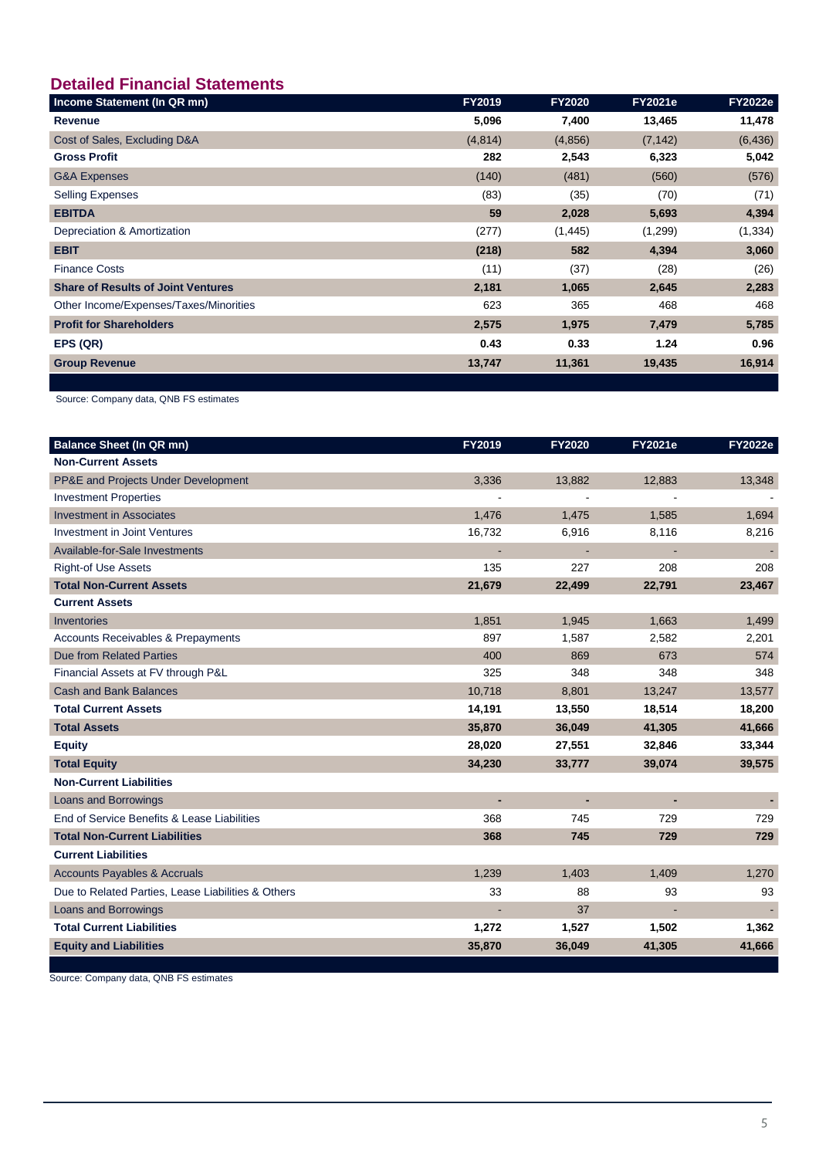# **Detailed Financial Statements**

| Income Statement (In QR mn)               | <b>FY2019</b> | <b>FY2020</b> | <b>FY2021e</b> | <b>FY2022e</b> |
|-------------------------------------------|---------------|---------------|----------------|----------------|
| Revenue                                   | 5,096         | 7,400         | 13,465         | 11,478         |
| Cost of Sales, Excluding D&A              | (4,814)       | (4,856)       | (7, 142)       | (6, 436)       |
| <b>Gross Profit</b>                       | 282           | 2,543         | 6,323          | 5,042          |
| <b>G&amp;A Expenses</b>                   | (140)         | (481)         | (560)          | (576)          |
| <b>Selling Expenses</b>                   | (83)          | (35)          | (70)           | (71)           |
| <b>EBITDA</b>                             | 59            | 2,028         | 5,693          | 4,394          |
| Depreciation & Amortization               | (277)         | (1, 445)      | (1,299)        | (1, 334)       |
| <b>EBIT</b>                               | (218)         | 582           | 4,394          | 3,060          |
| <b>Finance Costs</b>                      | (11)          | (37)          | (28)           | (26)           |
| <b>Share of Results of Joint Ventures</b> | 2,181         | 1,065         | 2,645          | 2,283          |
| Other Income/Expenses/Taxes/Minorities    | 623           | 365           | 468            | 468            |
| <b>Profit for Shareholders</b>            | 2,575         | 1,975         | 7,479          | 5,785          |
| EPS (QR)                                  | 0.43          | 0.33          | 1.24           | 0.96           |
| <b>Group Revenue</b>                      | 13,747        | 11,361        | 19,435         | 16,914         |
|                                           |               |               |                |                |

Source: Company data, QNB FS estimates

| <b>Balance Sheet (In QR mn)</b>                    | FY2019 | <b>FY2020</b>  | <b>FY2021e</b> | <b>FY2022e</b> |
|----------------------------------------------------|--------|----------------|----------------|----------------|
| <b>Non-Current Assets</b>                          |        |                |                |                |
| PP&E and Projects Under Development                | 3,336  | 13,882         | 12,883         | 13,348         |
| <b>Investment Properties</b>                       |        |                |                |                |
| <b>Investment in Associates</b>                    | 1,476  | 1,475          | 1,585          | 1.694          |
| <b>Investment in Joint Ventures</b>                | 16,732 | 6,916          | 8,116          | 8,216          |
| Available-for-Sale Investments                     | ÷,     | $\blacksquare$ | ÷,             | $\blacksquare$ |
| <b>Right-of Use Assets</b>                         | 135    | 227            | 208            | 208            |
| <b>Total Non-Current Assets</b>                    | 21,679 | 22,499         | 22,791         | 23,467         |
| <b>Current Assets</b>                              |        |                |                |                |
| Inventories                                        | 1,851  | 1,945          | 1,663          | 1,499          |
| <b>Accounts Receivables &amp; Prepayments</b>      | 897    | 1,587          | 2,582          | 2,201          |
| <b>Due from Related Parties</b>                    | 400    | 869            | 673            | 574            |
| Financial Assets at FV through P&L                 | 325    | 348            | 348            | 348            |
| <b>Cash and Bank Balances</b>                      | 10,718 | 8,801          | 13,247         | 13,577         |
| <b>Total Current Assets</b>                        | 14,191 | 13,550         | 18,514         | 18,200         |
| <b>Total Assets</b>                                | 35,870 | 36,049         | 41,305         | 41,666         |
| <b>Equity</b>                                      | 28,020 | 27,551         | 32,846         | 33,344         |
| <b>Total Equity</b>                                | 34,230 | 33,777         | 39,074         | 39,575         |
| <b>Non-Current Liabilities</b>                     |        |                |                |                |
| Loans and Borrowings                               | ٠      | ٠              | L.             | $\blacksquare$ |
| End of Service Benefits & Lease Liabilities        | 368    | 745            | 729            | 729            |
| <b>Total Non-Current Liabilities</b>               | 368    | 745            | 729            | 729            |
| <b>Current Liabilities</b>                         |        |                |                |                |
| <b>Accounts Payables &amp; Accruals</b>            | 1,239  | 1,403          | 1,409          | 1,270          |
| Due to Related Parties, Lease Liabilities & Others | 33     | 88             | 93             | 93             |
| Loans and Borrowings                               |        | 37             |                |                |
| <b>Total Current Liabilities</b>                   | 1,272  | 1,527          | 1,502          | 1,362          |
| <b>Equity and Liabilities</b>                      | 35,870 | 36,049         | 41,305         | 41,666         |

Source: Company data, QNB FS estimates